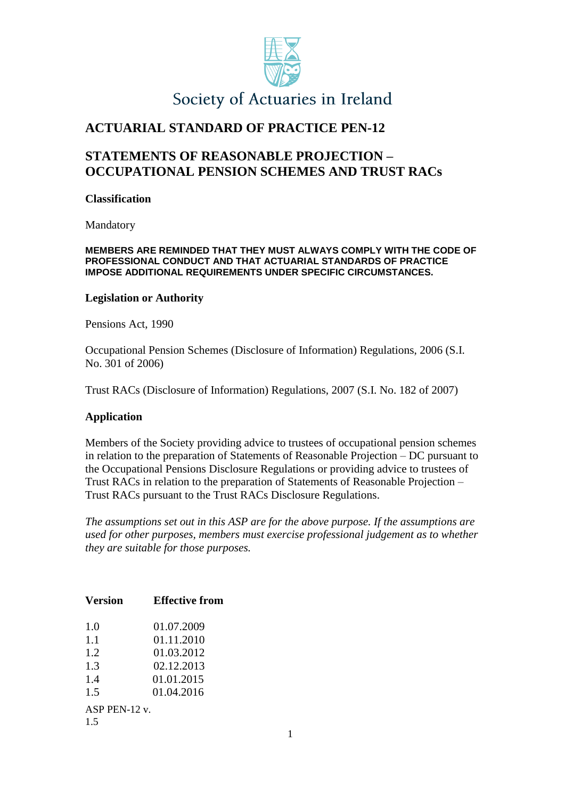

# Society of Actuaries in Ireland

# **ACTUARIAL STANDARD OF PRACTICE PEN-12**

## **STATEMENTS OF REASONABLE PROJECTION – OCCUPATIONAL PENSION SCHEMES AND TRUST RACs**

#### **Classification**

Mandatory

#### **MEMBERS ARE REMINDED THAT THEY MUST ALWAYS COMPLY WITH THE CODE OF PROFESSIONAL CONDUCT AND THAT ACTUARIAL STANDARDS OF PRACTICE IMPOSE ADDITIONAL REQUIREMENTS UNDER SPECIFIC CIRCUMSTANCES.**

#### **Legislation or Authority**

Pensions Act, 1990

Occupational Pension Schemes (Disclosure of Information) Regulations, 2006 (S.I. No. 301 of 2006)

Trust RACs (Disclosure of Information) Regulations, 2007 (S.I. No. 182 of 2007)

#### **Application**

Members of the Society providing advice to trustees of occupational pension schemes in relation to the preparation of Statements of Reasonable Projection – DC pursuant to the Occupational Pensions Disclosure Regulations or providing advice to trustees of Trust RACs in relation to the preparation of Statements of Reasonable Projection – Trust RACs pursuant to the Trust RACs Disclosure Regulations.

*The assumptions set out in this ASP are for the above purpose. If the assumptions are used for other purposes, members must exercise professional judgement as to whether they are suitable for those purposes.*

| Version          | <b>Effective from</b> |
|------------------|-----------------------|
| 1.0              | 01.07.2009            |
| 1.1              | 01.11.2010            |
| 1.2              | 01.03.2012            |
| 1.3              | 02.12.2013            |
| 1.4              | 01.01.2015            |
| 1.5              | 01.04.2016            |
| ASP PEN-12 $v$ . |                       |
| 15               |                       |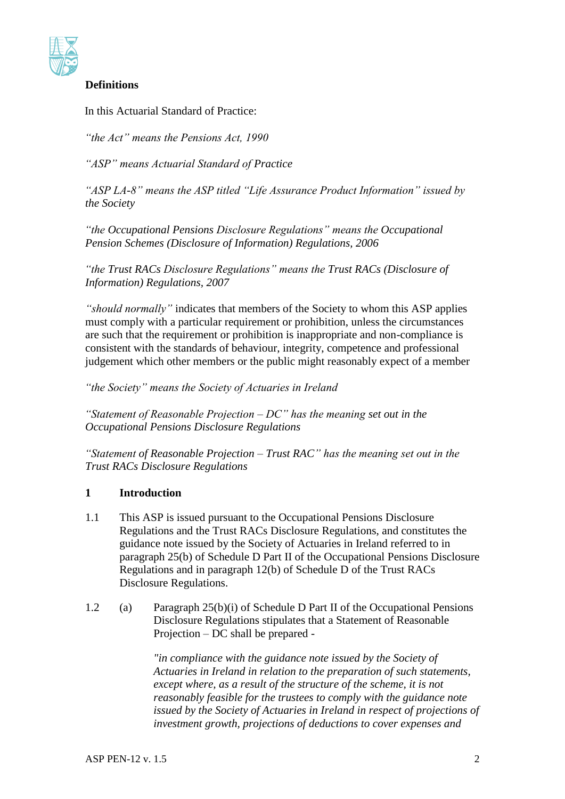

## **Definitions**

In this Actuarial Standard of Practice:

*"the Act" means the Pensions Act, 1990*

*"ASP" means Actuarial Standard of Practice*

*"ASP LA-8" means the ASP titled "Life Assurance Product Information" issued by the Society*

*"the Occupational Pensions Disclosure Regulations" means the Occupational Pension Schemes (Disclosure of Information) Regulations, 2006*

*"the Trust RACs Disclosure Regulations" means the Trust RACs (Disclosure of Information) Regulations, 2007*

*"should normally"* indicates that members of the Society to whom this ASP applies must comply with a particular requirement or prohibition, unless the circumstances are such that the requirement or prohibition is inappropriate and non-compliance is consistent with the standards of behaviour, integrity, competence and professional judgement which other members or the public might reasonably expect of a member

*"the Society" means the Society of Actuaries in Ireland*

*"Statement of Reasonable Projection – DC" has the meaning set out in the Occupational Pensions Disclosure Regulations*

*"Statement of Reasonable Projection – Trust RAC" has the meaning set out in the Trust RACs Disclosure Regulations*

### **1 Introduction**

- 1.1 This ASP is issued pursuant to the Occupational Pensions Disclosure Regulations and the Trust RACs Disclosure Regulations, and constitutes the guidance note issued by the Society of Actuaries in Ireland referred to in paragraph 25(b) of Schedule D Part II of the Occupational Pensions Disclosure Regulations and in paragraph 12(b) of Schedule D of the Trust RACs Disclosure Regulations.
- 1.2 (a) Paragraph 25(b)(i) of Schedule D Part II of the Occupational Pensions Disclosure Regulations stipulates that a Statement of Reasonable Projection – DC shall be prepared -

*"in compliance with the guidance note issued by the Society of Actuaries in Ireland in relation to the preparation of such statements, except where, as a result of the structure of the scheme, it is not reasonably feasible for the trustees to comply with the guidance note issued by the Society of Actuaries in Ireland in respect of projections of investment growth, projections of deductions to cover expenses and*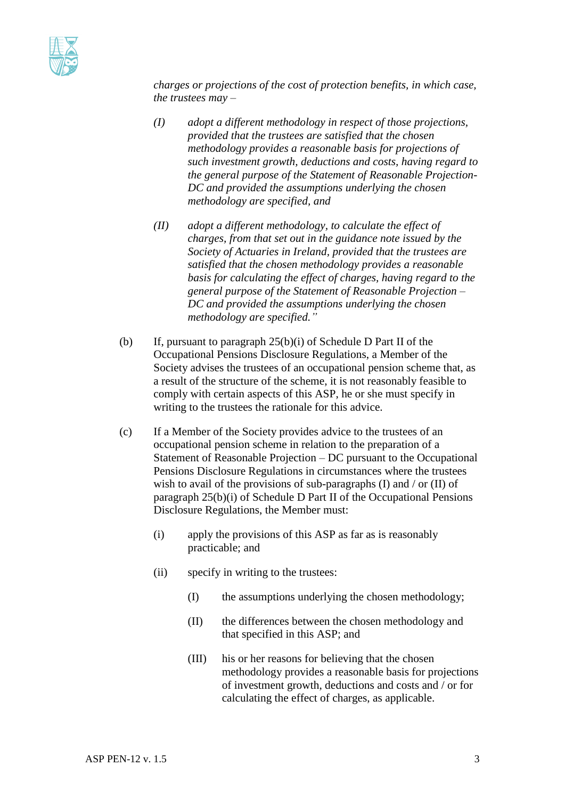

*charges or projections of the cost of protection benefits, in which case, the trustees may –*

- *(I) adopt a different methodology in respect of those projections, provided that the trustees are satisfied that the chosen methodology provides a reasonable basis for projections of such investment growth, deductions and costs, having regard to the general purpose of the Statement of Reasonable Projection-DC and provided the assumptions underlying the chosen methodology are specified, and*
- *(II) adopt a different methodology, to calculate the effect of charges, from that set out in the guidance note issued by the Society of Actuaries in Ireland, provided that the trustees are satisfied that the chosen methodology provides a reasonable basis for calculating the effect of charges, having regard to the general purpose of the Statement of Reasonable Projection – DC and provided the assumptions underlying the chosen methodology are specified."*
- (b) If, pursuant to paragraph 25(b)(i) of Schedule D Part II of the Occupational Pensions Disclosure Regulations, a Member of the Society advises the trustees of an occupational pension scheme that, as a result of the structure of the scheme, it is not reasonably feasible to comply with certain aspects of this ASP, he or she must specify in writing to the trustees the rationale for this advice.
- (c) If a Member of the Society provides advice to the trustees of an occupational pension scheme in relation to the preparation of a Statement of Reasonable Projection – DC pursuant to the Occupational Pensions Disclosure Regulations in circumstances where the trustees wish to avail of the provisions of sub-paragraphs (I) and / or (II) of paragraph 25(b)(i) of Schedule D Part II of the Occupational Pensions Disclosure Regulations, the Member must:
	- (i) apply the provisions of this ASP as far as is reasonably practicable; and
	- (ii) specify in writing to the trustees:
		- (I) the assumptions underlying the chosen methodology;
		- (II) the differences between the chosen methodology and that specified in this ASP; and
		- (III) his or her reasons for believing that the chosen methodology provides a reasonable basis for projections of investment growth, deductions and costs and / or for calculating the effect of charges, as applicable.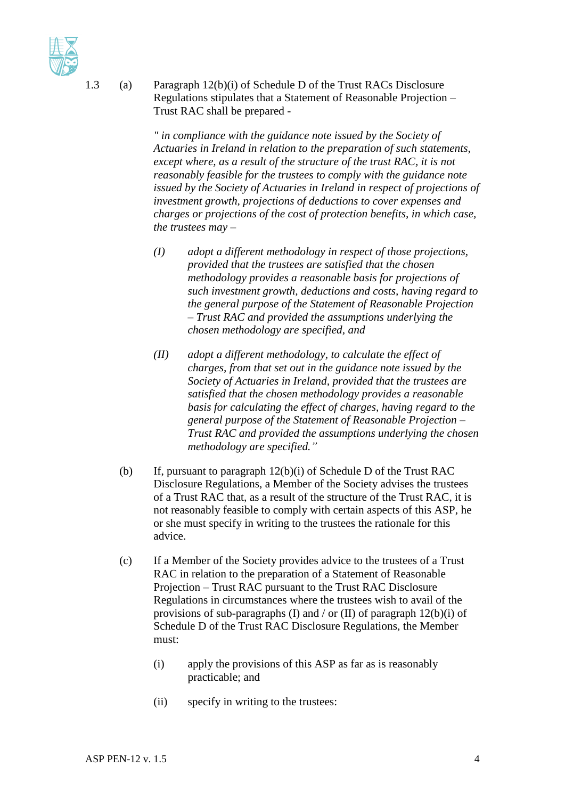1.3 (a) Paragraph 12(b)(i) of Schedule D of the Trust RACs Disclosure Regulations stipulates that a Statement of Reasonable Projection – Trust RAC shall be prepared -

> *" in compliance with the guidance note issued by the Society of Actuaries in Ireland in relation to the preparation of such statements, except where, as a result of the structure of the trust RAC, it is not reasonably feasible for the trustees to comply with the guidance note issued by the Society of Actuaries in Ireland in respect of projections of investment growth, projections of deductions to cover expenses and charges or projections of the cost of protection benefits, in which case, the trustees may –*

- *(I) adopt a different methodology in respect of those projections, provided that the trustees are satisfied that the chosen methodology provides a reasonable basis for projections of such investment growth, deductions and costs, having regard to the general purpose of the Statement of Reasonable Projection – Trust RAC and provided the assumptions underlying the chosen methodology are specified, and*
- *(II) adopt a different methodology, to calculate the effect of charges, from that set out in the guidance note issued by the Society of Actuaries in Ireland, provided that the trustees are satisfied that the chosen methodology provides a reasonable basis for calculating the effect of charges, having regard to the general purpose of the Statement of Reasonable Projection – Trust RAC and provided the assumptions underlying the chosen methodology are specified."*
- (b) If, pursuant to paragraph 12(b)(i) of Schedule D of the Trust RAC Disclosure Regulations, a Member of the Society advises the trustees of a Trust RAC that, as a result of the structure of the Trust RAC, it is not reasonably feasible to comply with certain aspects of this ASP, he or she must specify in writing to the trustees the rationale for this advice.
- (c) If a Member of the Society provides advice to the trustees of a Trust RAC in relation to the preparation of a Statement of Reasonable Projection – Trust RAC pursuant to the Trust RAC Disclosure Regulations in circumstances where the trustees wish to avail of the provisions of sub-paragraphs (I) and / or (II) of paragraph  $12(b)(i)$  of Schedule D of the Trust RAC Disclosure Regulations, the Member must:
	- (i) apply the provisions of this ASP as far as is reasonably practicable; and
	- (ii) specify in writing to the trustees: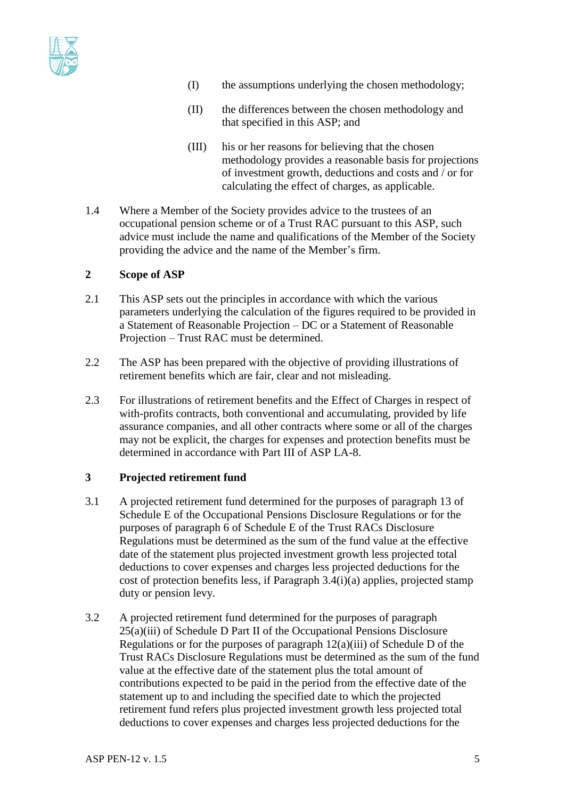

- (I) the assumptions underlying the chosen methodology;
- (II) the differences between the chosen methodology and that specified in this ASP; and
- (III) his or her reasons for believing that the chosen methodology provides a reasonable basis for projections of investment growth, deductions and costs and / or for calculating the effect of charges, as applicable.
- 1.4 Where a Member of the Society provides advice to the trustees of an occupational pension scheme or of a Trust RAC pursuant to this ASP, such advice must include the name and qualifications of the Member of the Society providing the advice and the name of the Member's firm.

#### **2 Scope of ASP**

- 2.1 This ASP sets out the principles in accordance with which the various parameters underlying the calculation of the figures required to be provided in a Statement of Reasonable Projection – DC or a Statement of Reasonable Projection – Trust RAC must be determined.
- 2.2 The ASP has been prepared with the objective of providing illustrations of retirement benefits which are fair, clear and not misleading.
- 2.3 For illustrations of retirement benefits and the Effect of Charges in respect of with-profits contracts, both conventional and accumulating, provided by life assurance companies, and all other contracts where some or all of the charges may not be explicit, the charges for expenses and protection benefits must be determined in accordance with Part III of ASP LA-8.

### **3 Projected retirement fund**

- 3.1 A projected retirement fund determined for the purposes of paragraph 13 of Schedule E of the Occupational Pensions Disclosure Regulations or for the purposes of paragraph 6 of Schedule E of the Trust RACs Disclosure Regulations must be determined as the sum of the fund value at the effective date of the statement plus projected investment growth less projected total deductions to cover expenses and charges less projected deductions for the cost of protection benefits less, if Paragraph 3.4(i)(a) applies, projected stamp duty or pension levy.
- 3.2 A projected retirement fund determined for the purposes of paragraph 25(a)(iii) of Schedule D Part II of the Occupational Pensions Disclosure Regulations or for the purposes of paragraph  $12(a)(iii)$  of Schedule D of the Trust RACs Disclosure Regulations must be determined as the sum of the fund value at the effective date of the statement plus the total amount of contributions expected to be paid in the period from the effective date of the statement up to and including the specified date to which the projected retirement fund refers plus projected investment growth less projected total deductions to cover expenses and charges less projected deductions for the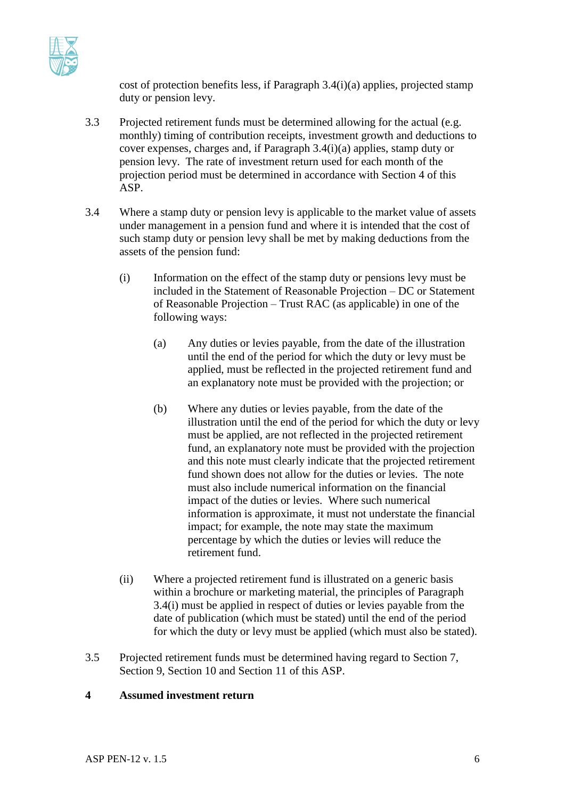

cost of protection benefits less, if Paragraph 3.4(i)(a) applies, projected stamp duty or pension levy.

- 3.3 Projected retirement funds must be determined allowing for the actual (e.g. monthly) timing of contribution receipts, investment growth and deductions to cover expenses, charges and, if Paragraph 3.4(i)(a) applies, stamp duty or pension levy. The rate of investment return used for each month of the projection period must be determined in accordance with Section 4 of this ASP.
- 3.4 Where a stamp duty or pension levy is applicable to the market value of assets under management in a pension fund and where it is intended that the cost of such stamp duty or pension levy shall be met by making deductions from the assets of the pension fund:
	- (i) Information on the effect of the stamp duty or pensions levy must be included in the Statement of Reasonable Projection – DC or Statement of Reasonable Projection – Trust RAC (as applicable) in one of the following ways:
		- (a) Any duties or levies payable, from the date of the illustration until the end of the period for which the duty or levy must be applied, must be reflected in the projected retirement fund and an explanatory note must be provided with the projection; or
		- (b) Where any duties or levies payable, from the date of the illustration until the end of the period for which the duty or levy must be applied, are not reflected in the projected retirement fund, an explanatory note must be provided with the projection and this note must clearly indicate that the projected retirement fund shown does not allow for the duties or levies. The note must also include numerical information on the financial impact of the duties or levies. Where such numerical information is approximate, it must not understate the financial impact; for example, the note may state the maximum percentage by which the duties or levies will reduce the retirement fund.
	- (ii) Where a projected retirement fund is illustrated on a generic basis within a brochure or marketing material, the principles of Paragraph 3.4(i) must be applied in respect of duties or levies payable from the date of publication (which must be stated) until the end of the period for which the duty or levy must be applied (which must also be stated).
- 3.5 Projected retirement funds must be determined having regard to Section 7, Section 9, Section 10 and Section 11 of this ASP.

### **4 Assumed investment return**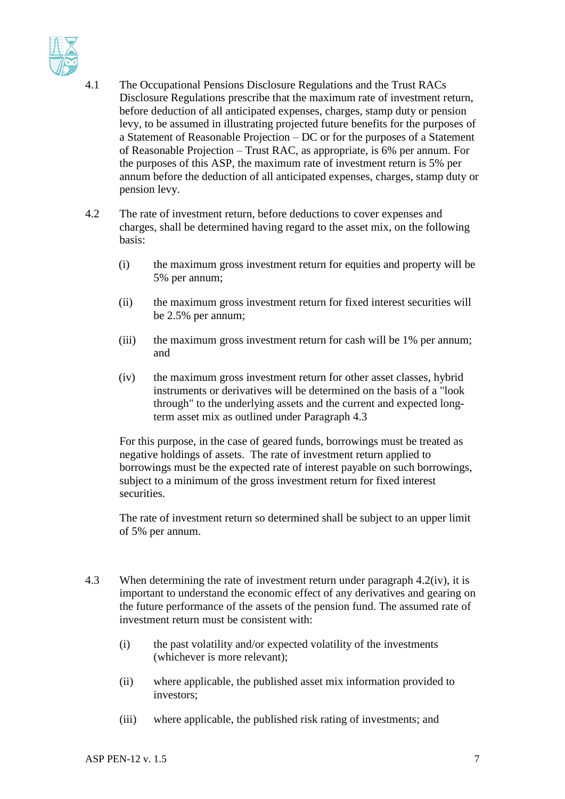

- 4.1 The Occupational Pensions Disclosure Regulations and the Trust RACs Disclosure Regulations prescribe that the maximum rate of investment return, before deduction of all anticipated expenses, charges, stamp duty or pension levy, to be assumed in illustrating projected future benefits for the purposes of a Statement of Reasonable Projection – DC or for the purposes of a Statement of Reasonable Projection – Trust RAC, as appropriate, is 6% per annum. For the purposes of this ASP, the maximum rate of investment return is 5% per annum before the deduction of all anticipated expenses, charges, stamp duty or pension levy.
- 4.2 The rate of investment return, before deductions to cover expenses and charges, shall be determined having regard to the asset mix, on the following basis:
	- (i) the maximum gross investment return for equities and property will be 5% per annum;
	- (ii) the maximum gross investment return for fixed interest securities will be 2.5% per annum;
	- (iii) the maximum gross investment return for cash will be 1% per annum; and
	- (iv) the maximum gross investment return for other asset classes, hybrid instruments or derivatives will be determined on the basis of a "look through" to the underlying assets and the current and expected longterm asset mix as outlined under Paragraph 4.3

For this purpose, in the case of geared funds, borrowings must be treated as negative holdings of assets. The rate of investment return applied to borrowings must be the expected rate of interest payable on such borrowings, subject to a minimum of the gross investment return for fixed interest securities.

The rate of investment return so determined shall be subject to an upper limit of 5% per annum.

- 4.3 When determining the rate of investment return under paragraph 4.2(iv), it is important to understand the economic effect of any derivatives and gearing on the future performance of the assets of the pension fund. The assumed rate of investment return must be consistent with:
	- (i) the past volatility and/or expected volatility of the investments (whichever is more relevant);
	- (ii) where applicable, the published asset mix information provided to investors;
	- (iii) where applicable, the published risk rating of investments; and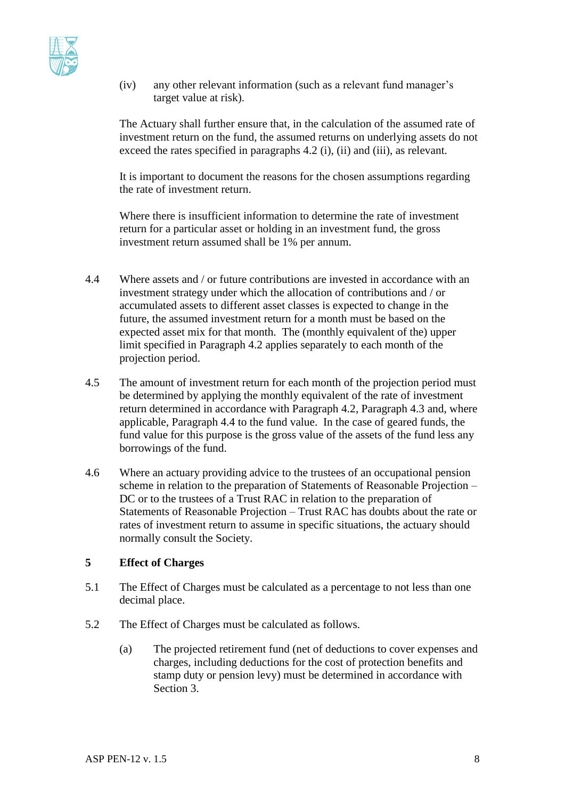

(iv) any other relevant information (such as a relevant fund manager's target value at risk).

The Actuary shall further ensure that, in the calculation of the assumed rate of investment return on the fund, the assumed returns on underlying assets do not exceed the rates specified in paragraphs 4.2 (i), (ii) and (iii), as relevant.

It is important to document the reasons for the chosen assumptions regarding the rate of investment return.

Where there is insufficient information to determine the rate of investment return for a particular asset or holding in an investment fund, the gross investment return assumed shall be 1% per annum.

- 4.4 Where assets and / or future contributions are invested in accordance with an investment strategy under which the allocation of contributions and / or accumulated assets to different asset classes is expected to change in the future, the assumed investment return for a month must be based on the expected asset mix for that month. The (monthly equivalent of the) upper limit specified in Paragraph 4.2 applies separately to each month of the projection period.
- 4.5 The amount of investment return for each month of the projection period must be determined by applying the monthly equivalent of the rate of investment return determined in accordance with Paragraph 4.2, Paragraph 4.3 and, where applicable, Paragraph 4.4 to the fund value. In the case of geared funds, the fund value for this purpose is the gross value of the assets of the fund less any borrowings of the fund.
- 4.6 Where an actuary providing advice to the trustees of an occupational pension scheme in relation to the preparation of Statements of Reasonable Projection – DC or to the trustees of a Trust RAC in relation to the preparation of Statements of Reasonable Projection – Trust RAC has doubts about the rate or rates of investment return to assume in specific situations, the actuary should normally consult the Society.

#### **5 Effect of Charges**

- 5.1 The Effect of Charges must be calculated as a percentage to not less than one decimal place.
- 5.2 The Effect of Charges must be calculated as follows.
	- (a) The projected retirement fund (net of deductions to cover expenses and charges, including deductions for the cost of protection benefits and stamp duty or pension levy) must be determined in accordance with Section 3.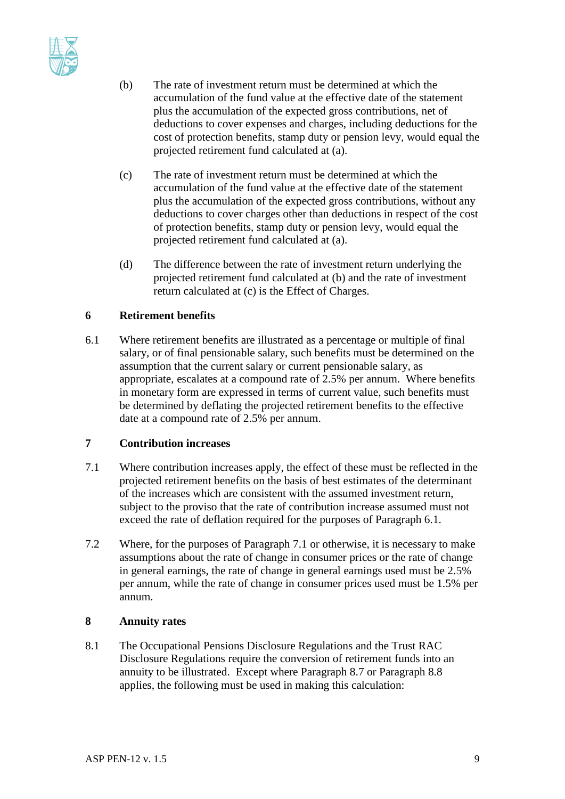

- (b) The rate of investment return must be determined at which the accumulation of the fund value at the effective date of the statement plus the accumulation of the expected gross contributions, net of deductions to cover expenses and charges, including deductions for the cost of protection benefits, stamp duty or pension levy, would equal the projected retirement fund calculated at (a).
- (c) The rate of investment return must be determined at which the accumulation of the fund value at the effective date of the statement plus the accumulation of the expected gross contributions, without any deductions to cover charges other than deductions in respect of the cost of protection benefits, stamp duty or pension levy, would equal the projected retirement fund calculated at (a).
- (d) The difference between the rate of investment return underlying the projected retirement fund calculated at (b) and the rate of investment return calculated at (c) is the Effect of Charges.

### **6 Retirement benefits**

6.1 Where retirement benefits are illustrated as a percentage or multiple of final salary, or of final pensionable salary, such benefits must be determined on the assumption that the current salary or current pensionable salary, as appropriate, escalates at a compound rate of 2.5% per annum. Where benefits in monetary form are expressed in terms of current value, such benefits must be determined by deflating the projected retirement benefits to the effective date at a compound rate of 2.5% per annum.

#### **7 Contribution increases**

- 7.1 Where contribution increases apply, the effect of these must be reflected in the projected retirement benefits on the basis of best estimates of the determinant of the increases which are consistent with the assumed investment return, subject to the proviso that the rate of contribution increase assumed must not exceed the rate of deflation required for the purposes of Paragraph 6.1.
- 7.2 Where, for the purposes of Paragraph 7.1 or otherwise, it is necessary to make assumptions about the rate of change in consumer prices or the rate of change in general earnings, the rate of change in general earnings used must be 2.5% per annum, while the rate of change in consumer prices used must be 1.5% per annum.

#### **8 Annuity rates**

8.1 The Occupational Pensions Disclosure Regulations and the Trust RAC Disclosure Regulations require the conversion of retirement funds into an annuity to be illustrated. Except where Paragraph 8.7 or Paragraph 8.8 applies, the following must be used in making this calculation: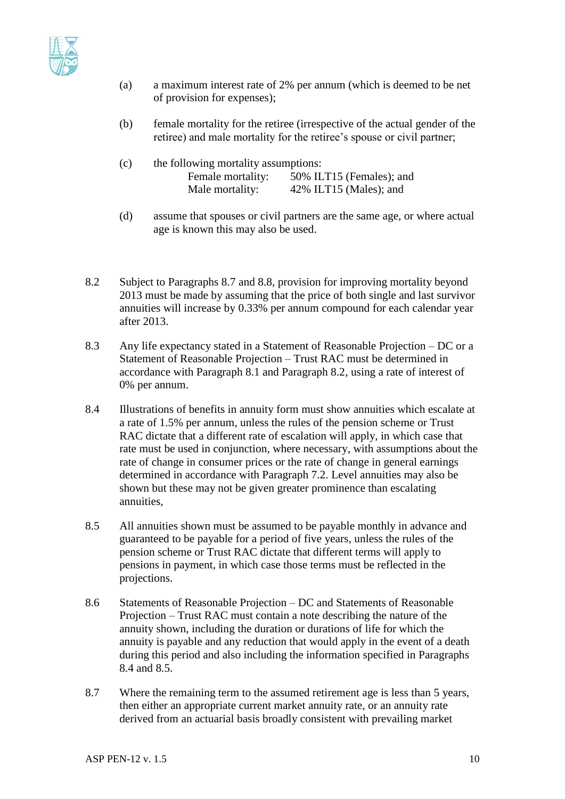

- (a) a maximum interest rate of 2% per annum (which is deemed to be net of provision for expenses);
- (b) female mortality for the retiree (irrespective of the actual gender of the retiree) and male mortality for the retiree's spouse or civil partner;
- (c) the following mortality assumptions: Female mortality: 50% ILT15 (Females); and Male mortality: 42% ILT15 (Males); and
- (d) assume that spouses or civil partners are the same age, or where actual age is known this may also be used.
- 8.2 Subject to Paragraphs 8.7 and 8.8, provision for improving mortality beyond 2013 must be made by assuming that the price of both single and last survivor annuities will increase by 0.33% per annum compound for each calendar year after 2013.
- 8.3 Any life expectancy stated in a Statement of Reasonable Projection DC or a Statement of Reasonable Projection – Trust RAC must be determined in accordance with Paragraph 8.1 and Paragraph 8.2, using a rate of interest of 0% per annum.
- 8.4 Illustrations of benefits in annuity form must show annuities which escalate at a rate of 1.5% per annum, unless the rules of the pension scheme or Trust RAC dictate that a different rate of escalation will apply, in which case that rate must be used in conjunction, where necessary, with assumptions about the rate of change in consumer prices or the rate of change in general earnings determined in accordance with Paragraph 7.2. Level annuities may also be shown but these may not be given greater prominence than escalating annuities,
- 8.5 All annuities shown must be assumed to be payable monthly in advance and guaranteed to be payable for a period of five years, unless the rules of the pension scheme or Trust RAC dictate that different terms will apply to pensions in payment, in which case those terms must be reflected in the projections.
- 8.6 Statements of Reasonable Projection DC and Statements of Reasonable Projection – Trust RAC must contain a note describing the nature of the annuity shown, including the duration or durations of life for which the annuity is payable and any reduction that would apply in the event of a death during this period and also including the information specified in Paragraphs 8.4 and 8.5.
- 8.7 Where the remaining term to the assumed retirement age is less than 5 years, then either an appropriate current market annuity rate, or an annuity rate derived from an actuarial basis broadly consistent with prevailing market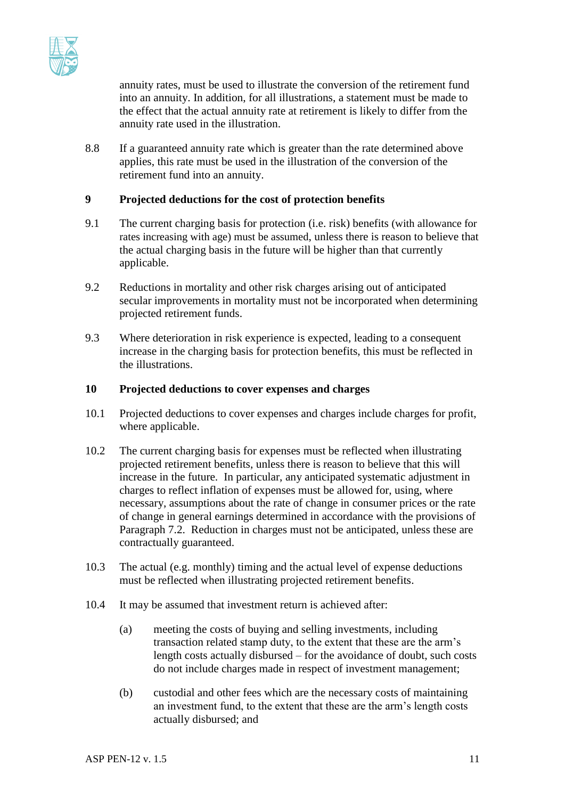

annuity rates, must be used to illustrate the conversion of the retirement fund into an annuity. In addition, for all illustrations, a statement must be made to the effect that the actual annuity rate at retirement is likely to differ from the annuity rate used in the illustration.

8.8 If a guaranteed annuity rate which is greater than the rate determined above applies, this rate must be used in the illustration of the conversion of the retirement fund into an annuity.

#### **9 Projected deductions for the cost of protection benefits**

- 9.1 The current charging basis for protection (i.e. risk) benefits (with allowance for rates increasing with age) must be assumed, unless there is reason to believe that the actual charging basis in the future will be higher than that currently applicable.
- 9.2 Reductions in mortality and other risk charges arising out of anticipated secular improvements in mortality must not be incorporated when determining projected retirement funds.
- 9.3 Where deterioration in risk experience is expected, leading to a consequent increase in the charging basis for protection benefits, this must be reflected in the illustrations.

#### **10 Projected deductions to cover expenses and charges**

- 10.1 Projected deductions to cover expenses and charges include charges for profit, where applicable.
- 10.2 The current charging basis for expenses must be reflected when illustrating projected retirement benefits, unless there is reason to believe that this will increase in the future. In particular, any anticipated systematic adjustment in charges to reflect inflation of expenses must be allowed for, using, where necessary, assumptions about the rate of change in consumer prices or the rate of change in general earnings determined in accordance with the provisions of Paragraph 7.2. Reduction in charges must not be anticipated, unless these are contractually guaranteed.
- 10.3 The actual (e.g. monthly) timing and the actual level of expense deductions must be reflected when illustrating projected retirement benefits.
- 10.4 It may be assumed that investment return is achieved after:
	- (a) meeting the costs of buying and selling investments, including transaction related stamp duty, to the extent that these are the arm's length costs actually disbursed – for the avoidance of doubt, such costs do not include charges made in respect of investment management;
	- (b) custodial and other fees which are the necessary costs of maintaining an investment fund, to the extent that these are the arm's length costs actually disbursed; and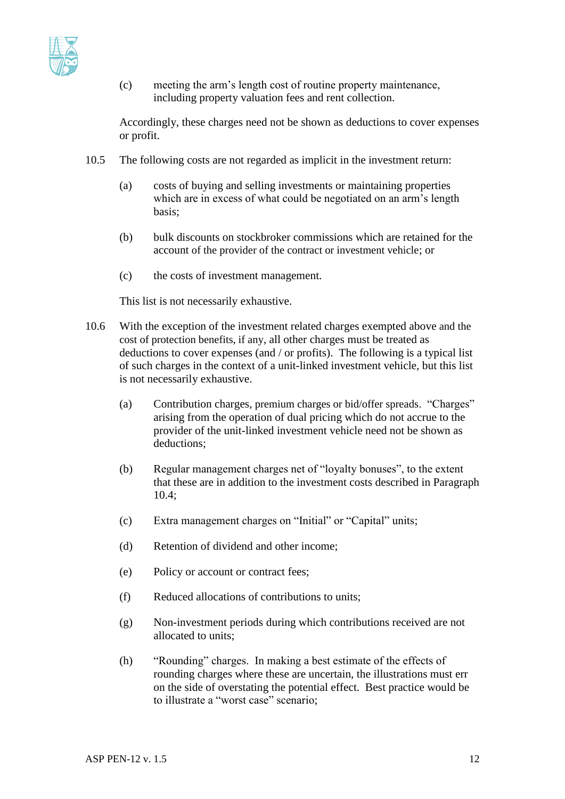

(c) meeting the arm's length cost of routine property maintenance, including property valuation fees and rent collection.

Accordingly, these charges need not be shown as deductions to cover expenses or profit.

- 10.5 The following costs are not regarded as implicit in the investment return:
	- (a) costs of buying and selling investments or maintaining properties which are in excess of what could be negotiated on an arm's length basis;
	- (b) bulk discounts on stockbroker commissions which are retained for the account of the provider of the contract or investment vehicle; or
	- (c) the costs of investment management.

This list is not necessarily exhaustive.

- 10.6 With the exception of the investment related charges exempted above and the cost of protection benefits, if any, all other charges must be treated as deductions to cover expenses (and / or profits). The following is a typical list of such charges in the context of a unit-linked investment vehicle, but this list is not necessarily exhaustive.
	- (a) Contribution charges, premium charges or bid/offer spreads. "Charges" arising from the operation of dual pricing which do not accrue to the provider of the unit-linked investment vehicle need not be shown as deductions;
	- (b) Regular management charges net of "loyalty bonuses", to the extent that these are in addition to the investment costs described in Paragraph  $10.4$ <sup>\*</sup>
	- (c) Extra management charges on "Initial" or "Capital" units;
	- (d) Retention of dividend and other income;
	- (e) Policy or account or contract fees;
	- (f) Reduced allocations of contributions to units;
	- (g) Non-investment periods during which contributions received are not allocated to units;
	- (h) "Rounding" charges. In making a best estimate of the effects of rounding charges where these are uncertain, the illustrations must err on the side of overstating the potential effect. Best practice would be to illustrate a "worst case" scenario;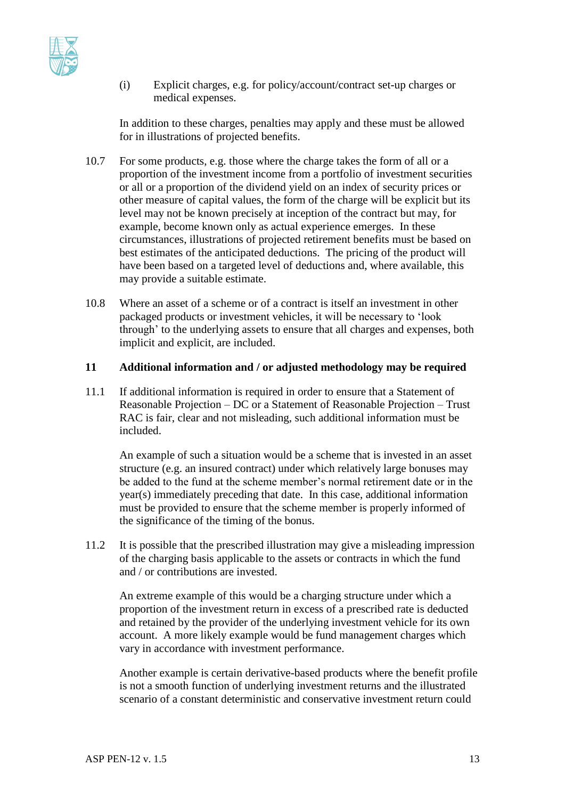

(i) Explicit charges, e.g. for policy/account/contract set-up charges or medical expenses.

In addition to these charges, penalties may apply and these must be allowed for in illustrations of projected benefits.

- 10.7 For some products, e.g. those where the charge takes the form of all or a proportion of the investment income from a portfolio of investment securities or all or a proportion of the dividend yield on an index of security prices or other measure of capital values, the form of the charge will be explicit but its level may not be known precisely at inception of the contract but may, for example, become known only as actual experience emerges. In these circumstances, illustrations of projected retirement benefits must be based on best estimates of the anticipated deductions. The pricing of the product will have been based on a targeted level of deductions and, where available, this may provide a suitable estimate.
- 10.8 Where an asset of a scheme or of a contract is itself an investment in other packaged products or investment vehicles, it will be necessary to 'look through' to the underlying assets to ensure that all charges and expenses, both implicit and explicit, are included.

#### **11 Additional information and / or adjusted methodology may be required**

11.1 If additional information is required in order to ensure that a Statement of Reasonable Projection – DC or a Statement of Reasonable Projection – Trust RAC is fair, clear and not misleading, such additional information must be included.

An example of such a situation would be a scheme that is invested in an asset structure (e.g. an insured contract) under which relatively large bonuses may be added to the fund at the scheme member's normal retirement date or in the year(s) immediately preceding that date. In this case, additional information must be provided to ensure that the scheme member is properly informed of the significance of the timing of the bonus.

11.2 It is possible that the prescribed illustration may give a misleading impression of the charging basis applicable to the assets or contracts in which the fund and / or contributions are invested.

An extreme example of this would be a charging structure under which a proportion of the investment return in excess of a prescribed rate is deducted and retained by the provider of the underlying investment vehicle for its own account. A more likely example would be fund management charges which vary in accordance with investment performance.

Another example is certain derivative-based products where the benefit profile is not a smooth function of underlying investment returns and the illustrated scenario of a constant deterministic and conservative investment return could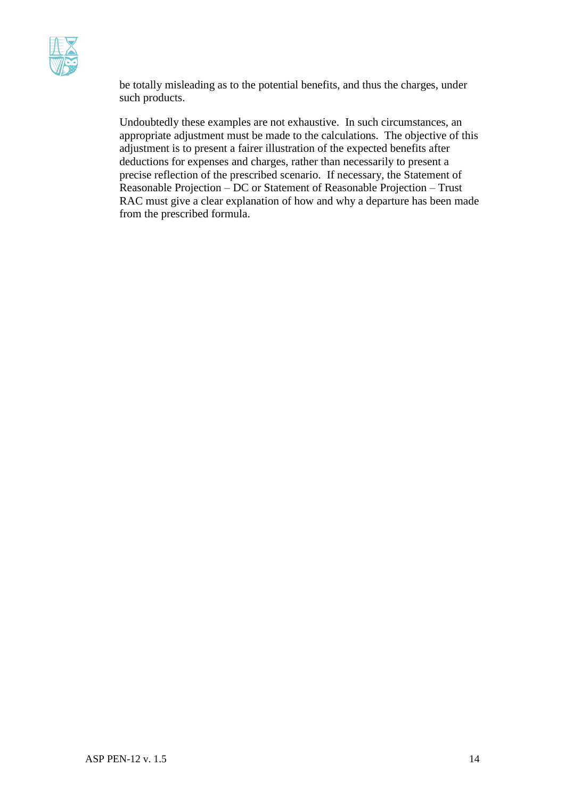

be totally misleading as to the potential benefits, and thus the charges, under such products.

Undoubtedly these examples are not exhaustive. In such circumstances, an appropriate adjustment must be made to the calculations. The objective of this adjustment is to present a fairer illustration of the expected benefits after deductions for expenses and charges, rather than necessarily to present a precise reflection of the prescribed scenario. If necessary, the Statement of Reasonable Projection – DC or Statement of Reasonable Projection – Trust RAC must give a clear explanation of how and why a departure has been made from the prescribed formula.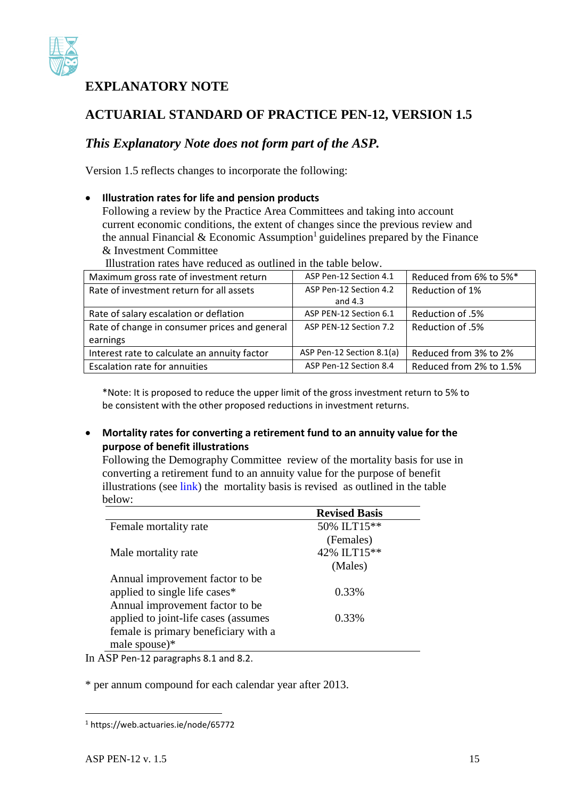

## **EXPLANATORY NOTE**

# **ACTUARIAL STANDARD OF PRACTICE PEN-12, VERSION 1.5**

## *This Explanatory Note does not form part of the ASP.*

Version 1.5 reflects changes to incorporate the following:

## **Illustration rates for life and pension products**

Following a review by the Practice Area Committees and taking into account current economic conditions, the extent of changes since the previous review and the annual Financial & Economic Assumption<sup>1</sup> guidelines prepared by the Finance & Investment Committee

Illustration rates have reduced as outlined in the table below.

| Maximum gross rate of investment return       | ASP Pen-12 Section 4.1    | Reduced from 6% to 5%*  |
|-----------------------------------------------|---------------------------|-------------------------|
| Rate of investment return for all assets      | ASP Pen-12 Section 4.2    | Reduction of 1%         |
|                                               | and $4.3$                 |                         |
| Rate of salary escalation or deflation        | ASP PEN-12 Section 6.1    | Reduction of .5%        |
| Rate of change in consumer prices and general | ASP PEN-12 Section 7.2    | Reduction of .5%        |
| earnings                                      |                           |                         |
| Interest rate to calculate an annuity factor  | ASP Pen-12 Section 8.1(a) | Reduced from 3% to 2%   |
| Escalation rate for annuities                 | ASP Pen-12 Section 8.4    | Reduced from 2% to 1.5% |

\*Note: It is proposed to reduce the upper limit of the gross investment return to 5% to be consistent with the other proposed reductions in investment returns.

### **Mortality rates for converting a retirement fund to an annuity value for the purpose of benefit illustrations**

Following the Demography Committee review of the mortality basis for use in converting a retirement fund to an annuity value for the purpose of benefit illustrations (see [link\)](https://web.actuaries.ie/sites/default/files/story/2015/07/1505%20Mortality%20Bases%20Review.pdf) the mortality basis is revised as outlined in the table below:

|                                          | <b>Revised Basis</b> |  |
|------------------------------------------|----------------------|--|
| Female mortality rate                    | 50% ILT15**          |  |
|                                          | (Females)            |  |
| Male mortality rate                      | 42% ILT15**          |  |
|                                          | (Males)              |  |
| Annual improvement factor to be.         |                      |  |
| applied to single life cases*            | 0.33%                |  |
| Annual improvement factor to be          |                      |  |
| applied to joint-life cases (assumes     | 0.33%                |  |
| female is primary beneficiary with a     |                      |  |
| male spouse)*                            |                      |  |
| $CD - 12$<br>$\sim$ $\sim$ $\sim$ $\sim$ |                      |  |

In ASP Pen-12 paragraphs 8.1 and 8.2.

\* per annum compound for each calendar year after 2013.

 $\overline{a}$ 

<sup>1</sup> https://web.actuaries.ie/node/65772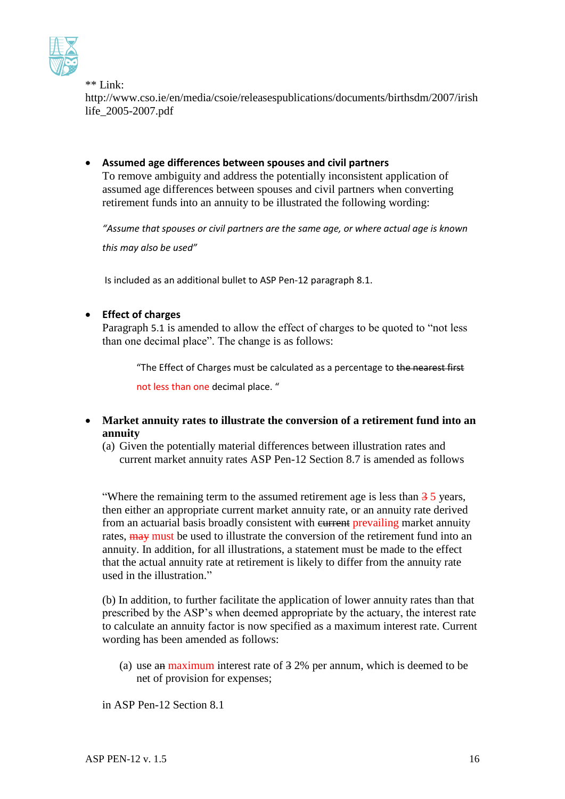

\*\* Link:

[http://www.cso.ie/en/media/csoie/releasespublications/documents/birthsdm/2007/irish](http://www.cso.ie/en/media/csoie/releasespublications/documents/birthsdm/2007/irishlife_2005-2007.pdf) [life\\_2005-2007.pdf](http://www.cso.ie/en/media/csoie/releasespublications/documents/birthsdm/2007/irishlife_2005-2007.pdf)

 **Assumed age differences between spouses and civil partners** To remove ambiguity and address the potentially inconsistent application of assumed age differences between spouses and civil partners when converting retirement funds into an annuity to be illustrated the following wording:

*"Assume that spouses or civil partners are the same age, or where actual age is known this may also be used"*

Is included as an additional bullet to ASP Pen-12 paragraph 8.1.

### **Effect of charges**

Paragraph 5.1 is amended to allow the effect of charges to be quoted to "not less than one decimal place". The change is as follows:

"The Effect of Charges must be calculated as a percentage to the nearest first

not less than one decimal place. "

- **Market annuity rates to illustrate the conversion of a retirement fund into an annuity**
	- (a) Given the potentially material differences between illustration rates and current market annuity rates ASP Pen-12 Section 8.7 is amended as follows

"Where the remaining term to the assumed retirement age is less than  $\frac{3}{5}$  years, then either an appropriate current market annuity rate, or an annuity rate derived from an actuarial basis broadly consistent with eurrent prevailing market annuity rates,  $\frac{m}{m}$  must be used to illustrate the conversion of the retirement fund into an annuity. In addition, for all illustrations, a statement must be made to the effect that the actual annuity rate at retirement is likely to differ from the annuity rate used in the illustration."

(b) In addition, to further facilitate the application of lower annuity rates than that prescribed by the ASP's when deemed appropriate by the actuary, the interest rate to calculate an annuity factor is now specified as a maximum interest rate. Current wording has been amended as follows:

(a) use an maximum interest rate of 3 2% per annum, which is deemed to be net of provision for expenses;

in ASP Pen-12 Section 8.1